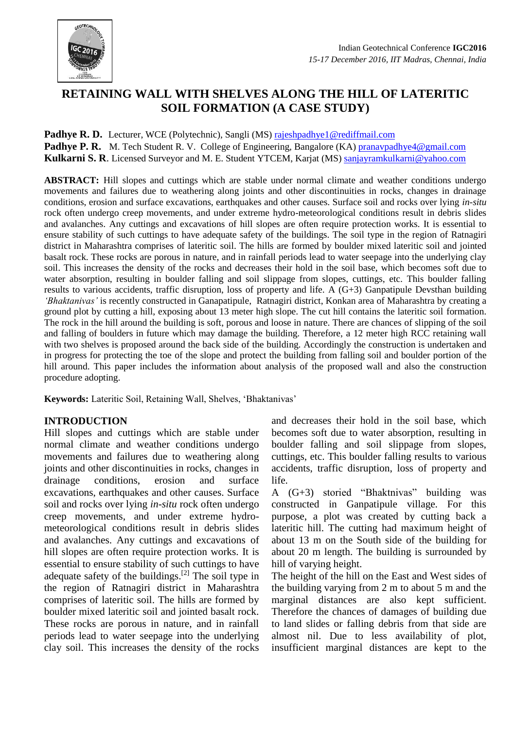

# **RETAINING WALL WITH SHELVES ALONG THE HILL OF LATERITIC SOIL FORMATION (A CASE STUDY)**

**Padhye R. D.** Lecturer, WCE (Polytechnic), Sangli (MS[\) rajeshpadhye1@rediffmail.com](mailto:rajeshpadhye1@rediffmail.com) **Padhye P. R.** M. Tech Student R. V. College of Engineering, Bangalore (KA) [pranavpadhye4@gmail.com](mailto:pranavpadhye4@gmail.com) **Kulkarni S. R**. Licensed Surveyor and M. E. Student YTCEM, Karjat (MS) [sanjayramkulkarni@yahoo.com](mailto:sanjayramkulkarni@yahoo.com)

**ABSTRACT:** Hill slopes and cuttings which are stable under normal climate and weather conditions undergo movements and failures due to weathering along joints and other discontinuities in rocks, changes in drainage conditions, erosion and surface excavations, earthquakes and other causes. Surface soil and rocks over lying *in-situ*  rock often undergo creep movements, and under extreme hydro-meteorological conditions result in debris slides and avalanches. Any cuttings and excavations of hill slopes are often require protection works. It is essential to ensure stability of such cuttings to have adequate safety of the buildings. The soil type in the region of Ratnagiri district in Maharashtra comprises of lateritic soil. The hills are formed by boulder mixed lateritic soil and jointed basalt rock. These rocks are porous in nature, and in rainfall periods lead to water seepage into the underlying clay soil. This increases the density of the rocks and decreases their hold in the soil base, which becomes soft due to water absorption, resulting in boulder falling and soil slippage from slopes, cuttings, etc. This boulder falling results to various accidents, traffic disruption, loss of property and life. A (G+3) Ganpatipule Devsthan building *'Bhaktanivas'* is recently constructed in Ganapatipule, Ratnagiri district, Konkan area of Maharashtra by creating a ground plot by cutting a hill, exposing about 13 meter high slope. The cut hill contains the lateritic soil formation. The rock in the hill around the building is soft, porous and loose in nature. There are chances of slipping of the soil and falling of boulders in future which may damage the building. Therefore, a 12 meter high RCC retaining wall with two shelves is proposed around the back side of the building. Accordingly the construction is undertaken and in progress for protecting the toe of the slope and protect the building from falling soil and boulder portion of the hill around. This paper includes the information about analysis of the proposed wall and also the construction procedure adopting.

**Keywords:** Lateritic Soil, Retaining Wall, Shelves, 'Bhaktanivas'

## **INTRODUCTION**

Hill slopes and cuttings which are stable under normal climate and weather conditions undergo movements and failures due to weathering along joints and other discontinuities in rocks, changes in drainage conditions, erosion and surface excavations, earthquakes and other causes. Surface soil and rocks over lying *in-situ* rock often undergo creep movements, and under extreme hydrometeorological conditions result in debris slides and avalanches. Any cuttings and excavations of hill slopes are often require protection works. It is essential to ensure stability of such cuttings to have adequate safety of the buildings.<sup>[2]</sup> The soil type in the region of Ratnagiri district in Maharashtra comprises of lateritic soil. The hills are formed by boulder mixed lateritic soil and jointed basalt rock. These rocks are porous in nature, and in rainfall periods lead to water seepage into the underlying clay soil. This increases the density of the rocks

and decreases their hold in the soil base, which becomes soft due to water absorption, resulting in boulder falling and soil slippage from slopes, cuttings, etc. This boulder falling results to various accidents, traffic disruption, loss of property and life.

A (G+3) storied "Bhaktnivas" building was constructed in Ganpatipule village. For this purpose, a plot was created by cutting back a lateritic hill. The cutting had maximum height of about 13 m on the South side of the building for about 20 m length. The building is surrounded by hill of varying height.

The height of the hill on the East and West sides of the building varying from 2 m to about 5 m and the marginal distances are also kept sufficient. Therefore the chances of damages of building due to land slides or falling debris from that side are almost nil. Due to less availability of plot, insufficient marginal distances are kept to the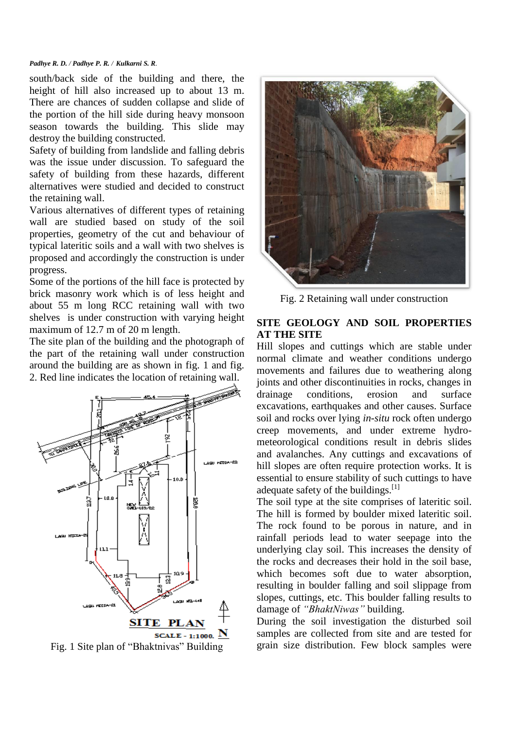#### *Padhye R. D. / Padhye P. R. / Kulkarni S. R.*

south/back side of the building and there, the height of hill also increased up to about 13 m. There are chances of sudden collapse and slide of the portion of the hill side during heavy monsoon season towards the building. This slide may destroy the building constructed.

Safety of building from landslide and falling debris was the issue under discussion. To safeguard the safety of building from these hazards, different alternatives were studied and decided to construct the retaining wall.

Various alternatives of different types of retaining wall are studied based on study of the soil properties, geometry of the cut and behaviour of typical lateritic soils and a wall with two shelves is proposed and accordingly the construction is under progress.

Some of the portions of the hill face is protected by brick masonry work which is of less height and about 55 m long RCC retaining wall with two shelves is under construction with varying height maximum of 12.7 m of 20 m length.

The site plan of the building and the photograph of the part of the retaining wall under construction around the building are as shown in fig. 1 and fig. 2. Red line indicates the location of retaining wall.



Fig. 1 Site plan of "Bhaktnivas" Building



Fig. 2 Retaining wall under construction

# **SITE GEOLOGY AND SOIL PROPERTIES AT THE SITE**

Hill slopes and cuttings which are stable under normal climate and weather conditions undergo movements and failures due to weathering along joints and other discontinuities in rocks, changes in drainage conditions, erosion and surface excavations, earthquakes and other causes. Surface soil and rocks over lying *in-situ* rock often undergo creep movements, and under extreme hydrometeorological conditions result in debris slides and avalanches. Any cuttings and excavations of hill slopes are often require protection works. It is essential to ensure stability of such cuttings to have adequate safety of the buildings.<sup>[1]</sup>

The soil type at the site comprises of lateritic soil. The hill is formed by boulder mixed lateritic soil. The rock found to be porous in nature, and in rainfall periods lead to water seepage into the underlying clay soil. This increases the density of the rocks and decreases their hold in the soil base, which becomes soft due to water absorption, resulting in boulder falling and soil slippage from slopes, cuttings, etc. This boulder falling results to damage of *"BhaktNiwas"* building.

During the soil investigation the disturbed soil samples are collected from site and are tested for grain size distribution. Few block samples were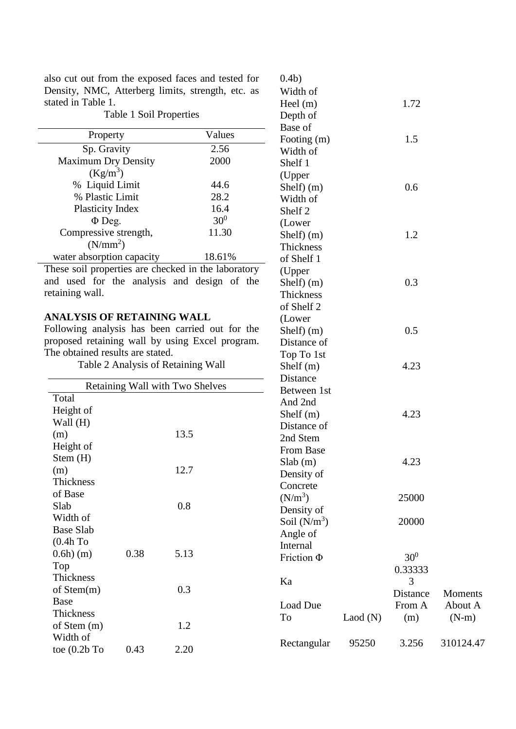also cut out from the exposed faces and tested for Density, NMC, Atterberg limits, strength, etc. as stated in Table 1.

0.4b) Width of

Shelf)  $(m)$  0.3

Shelf)  $(m)$  0.5

Shelf  $(m)$  4.23

Moments About A (N-m)

810124.47

**Thickness** of Shelf 2 (Lower

Distance of Top To 1st

Table 1 Soil Properties Property Values Sp. Gravity 2.56 Maximum Dry Density  $(Kg/m^3)$ 2000 % Liquid Limit 44.6 % Plastic Limit 28.2 Plasticity Index 16.4<br>  $\Phi$  Deg. 30<sup>0</sup>  $\Phi$  Deg. Compressive strength,  $(N/mm^2)$ 11.30 water absorption capacity 18.61% Heel (m) 1.72 Depth of Base of Footing  $(m)$  1.5 Width of Shelf 1 (Upper Shelf)  $(m)$  0.6 Width of Shelf 2 (Lower Shelf)  $(m)$  1.2 Thickness of Shelf 1 (Upper

These soil properties are checked in the laboratory and used for the analysis and design of the retaining wall.

## **ANALYSIS OF RETAINING WALL**

Following analysis has been carried out for the proposed retaining wall by using Excel program. The obtained results are stated.

Table 2 Analysis of Retaining Wall

|                                 |      |      | Distance        |         |                 |
|---------------------------------|------|------|-----------------|---------|-----------------|
| Retaining Wall with Two Shelves |      |      | Between 1st     |         |                 |
| Total                           |      |      | And 2nd         |         |                 |
| Height of                       |      |      | Shelf $(m)$     |         | 4.23            |
| Wall (H)                        |      |      | Distance of     |         |                 |
| (m)                             |      | 13.5 | 2nd Stem        |         |                 |
| Height of                       |      |      | From Base       |         |                 |
| Stem(H)                         |      |      | Slab(m)         |         | 4.23            |
| (m)                             |      | 12.7 | Density of      |         |                 |
| Thickness                       |      |      | Concrete        |         |                 |
| of Base                         |      |      | $(N/m^3)$       |         | 25000           |
| Slab                            |      | 0.8  | Density of      |         |                 |
| Width of                        |      |      | Soil $(N/m^3)$  |         | 20000           |
| <b>Base Slab</b>                |      |      | Angle of        |         |                 |
| (0.4h)                          |      |      | Internal        |         |                 |
| $0.6h)$ (m)                     | 0.38 | 5.13 | Friction $\Phi$ |         | 30 <sup>0</sup> |
| Top                             |      |      |                 |         | 0.33333         |
| Thickness                       |      |      | Ka              |         | 3               |
| of $Stem(m)$                    |      | 0.3  |                 |         | Distance        |
| Base                            |      |      | Load Due        |         | From A          |
| Thickness                       |      |      | To              | Laod(N) | (m)             |
| of Stem $(m)$                   |      | 1.2  |                 |         |                 |
| Width of                        |      |      | Rectangular     | 95250   | 3.256           |
| toe $(0.2b)$ To                 | 0.43 | 2.20 |                 |         |                 |